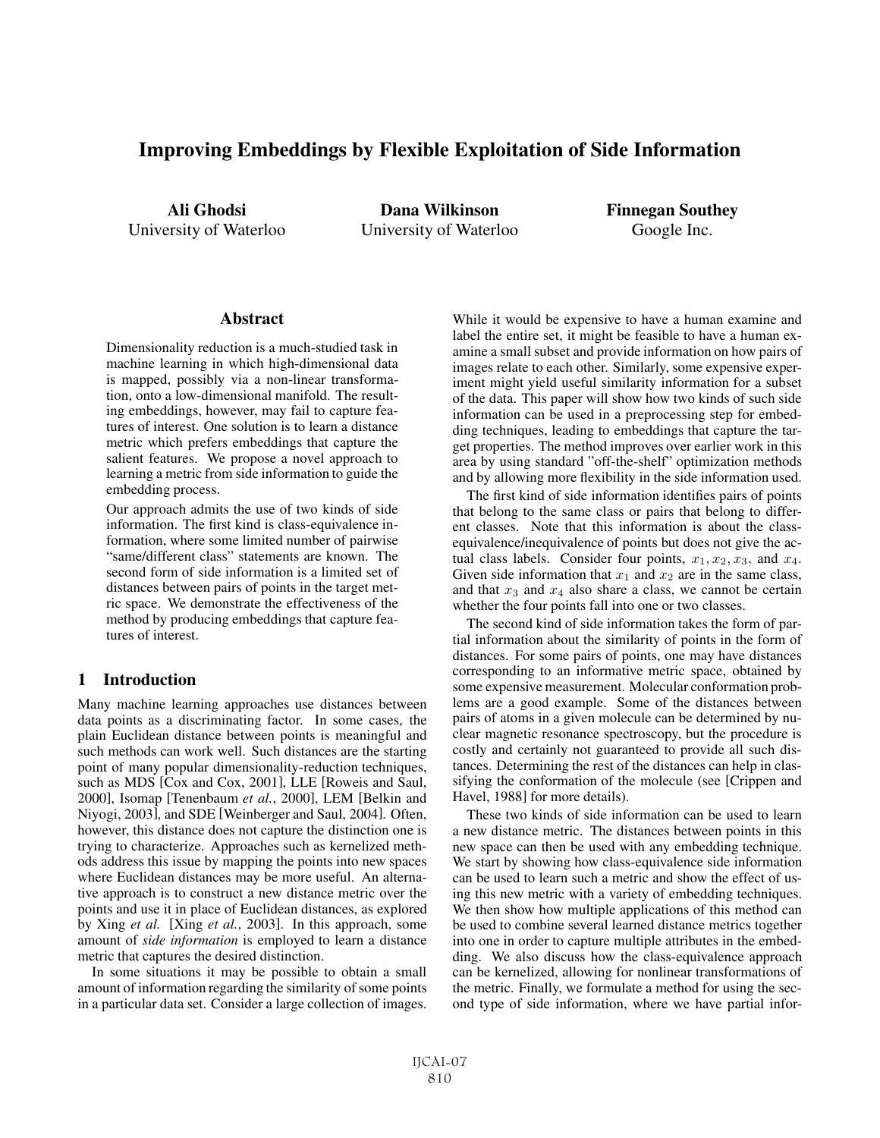# Improving Embeddings by Flexible Exploitation of Side Information

Ali Ghodsi University of Waterloo

Dana Wilkinson University of Waterloo Finnegan Southey Google Inc.

### **Abstract**

Dimensionality reduction is a much-studied task in machine learning in which high-dimensional data is mapped, possibly via a non-linear transformation, onto a low-dimensional manifold. The resulting embeddings, however, may fail to capture features of interest. One solution is to learn a distance metric which prefers embeddings that capture the salient features. We propose a novel approach to learning a metric from side information to guide the embedding process.

Our approach admits the use of two kinds of side information. The first kind is class-equivalence information, where some limited number of pairwise "same/different class" statements are known. The second form of side information is a limited set of distances between pairs of points in the target metric space. We demonstrate the effectiveness of the method by producing embeddings that capture features of interest.

### 1 Introduction

Many machine learning approaches use distances between data points as a discriminating factor. In some cases, the plain Euclidean distance between points is meaningful and such methods can work well. Such distances are the starting point of many popular dimensionality-reduction techniques, such as MDS [Cox and Cox, 2001], LLE [Roweis and Saul, 2000], Isomap [Tenenbaum *et al.*, 2000], LEM [Belkin and Niyogi, 2003], and SDE [Weinberger and Saul, 2004]. Often, however, this distance does not capture the distinction one is trying to characterize. Approaches such as kernelized methods address this issue by mapping the points into new spaces where Euclidean distances may be more useful. An alternative approach is to construct a new distance metric over the points and use it in place of Euclidean distances, as explored by Xing *et al.* [Xing *et al.*, 2003]. In this approach, some amount of *side information* is employed to learn a distance metric that captures the desired distinction.

In some situations it may be possible to obtain a small amount of information regarding the similarity of some points in a particular data set. Consider a large collection of images. While it would be expensive to have a human examine and label the entire set, it might be feasible to have a human examine a small subset and provide information on how pairs of images relate to each other. Similarly, some expensive experiment might yield useful similarity information for a subset of the data. This paper will show how two kinds of such side information can be used in a preprocessing step for embedding techniques, leading to embeddings that capture the target properties. The method improves over earlier work in this area by using standard "off-the-shelf" optimization methods and by allowing more flexibility in the side information used.

The first kind of side information identifies pairs of points that belong to the same class or pairs that belong to different classes. Note that this information is about the classequivalence/inequivalence of points but does not give the actual class labels. Consider four points,  $x_1, x_2, x_3$ , and  $x_4$ . Given side information that  $x_1$  and  $x_2$  are in the same class, and that  $x_3$  and  $x_4$  also share a class, we cannot be certain whether the four points fall into one or two classes.

The second kind of side information takes the form of partial information about the similarity of points in the form of distances. For some pairs of points, one may have distances corresponding to an informative metric space, obtained by some expensive measurement. Molecular conformation problems are a good example. Some of the distances between pairs of atoms in a given molecule can be determined by nuclear magnetic resonance spectroscopy, but the procedure is costly and certainly not guaranteed to provide all such distances. Determining the rest of the distances can help in classifying the conformation of the molecule (see [Crippen and Havel, 1988] for more details).

These two kinds of side information can be used to learn a new distance metric. The distances between points in this new space can then be used with any embedding technique. We start by showing how class-equivalence side information can be used to learn such a metric and show the effect of using this new metric with a variety of embedding techniques. We then show how multiple applications of this method can be used to combine several learned distance metrics together into one in order to capture multiple attributes in the embedding. We also discuss how the class-equivalence approach can be kernelized, allowing for nonlinear transformations of the metric. Finally, we formulate a method for using the second type of side information, where we have partial infor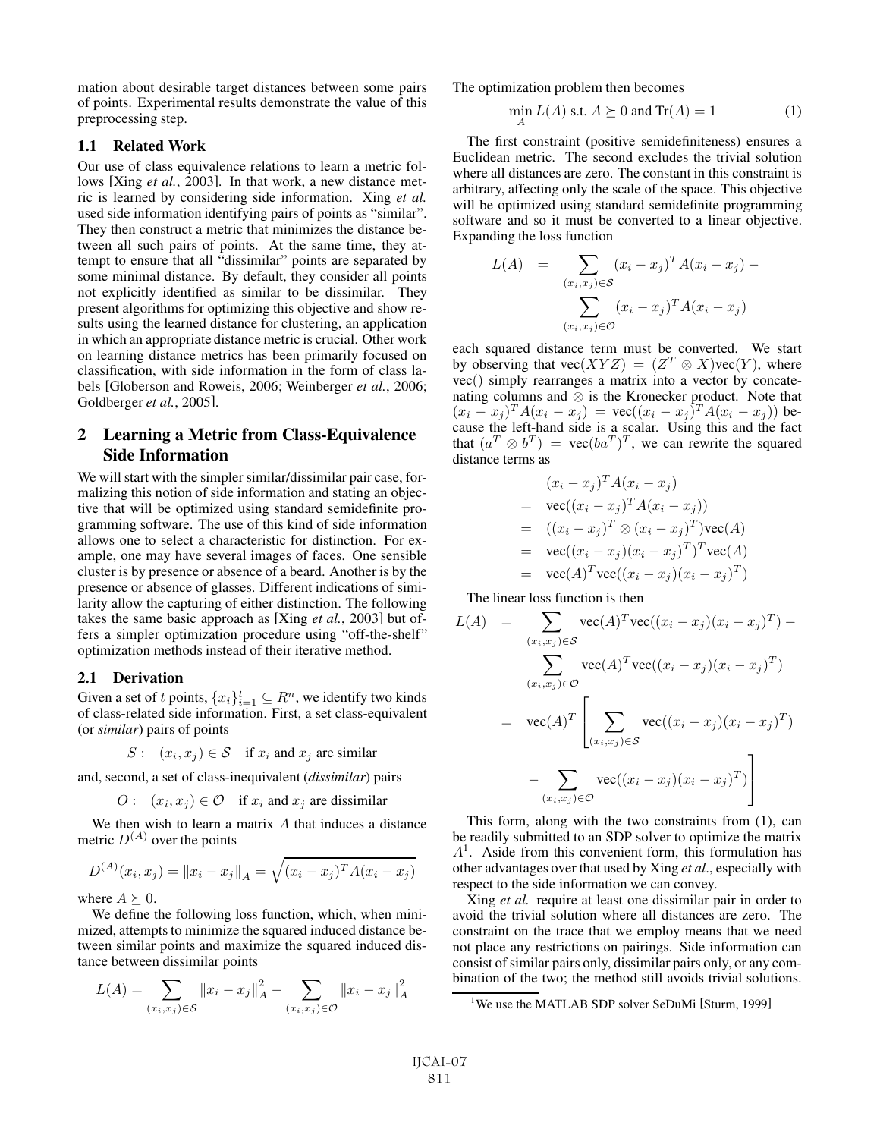mation about desirable target distances between some pairs of points. Experimental results demonstrate the value of this preprocessing step.

### 1.1 Related Work

Our use of class equivalence relations to learn a metric follows [Xing *et al.*, 2003]. In that work, a new distance metric is learned by considering side information. Xing *et al.* used side information identifying pairs of points as "similar". They then construct a metric that minimizes the distance between all such pairs of points. At the same time, they attempt to ensure that all "dissimilar" points are separated by some minimal distance. By default, they consider all points not explicitly identified as similar to be dissimilar. They present algorithms for optimizing this objective and show results using the learned distance for clustering, an application in which an appropriate distance metric is crucial. Other work on learning distance metrics has been primarily focused on classification, with side information in the form of class labels [Globerson and Roweis, 2006; Weinberger *et al.*, 2006; Goldberger *et al.*, 2005].

## 2 Learning a Metric from Class-Equivalence Side Information

We will start with the simpler similar/dissimilar pair case, formalizing this notion of side information and stating an objective that will be optimized using standard semidefinite programming software. The use of this kind of side information allows one to select a characteristic for distinction. For example, one may have several images of faces. One sensible cluster is by presence or absence of a beard. Another is by the presence or absence of glasses. Different indications of similarity allow the capturing of either distinction. The following takes the same basic approach as [Xing *et al.*, 2003] but offers a simpler optimization procedure using "off-the-shelf" optimization methods instead of their iterative method.

### 2.1 Derivation

Given a set of t points,  $\{x_i\}_{i=1}^t \subseteq R^n$ , we identify two kinds of class-related side information. First, a set class-equivalent (or *similar*) pairs of points

$$
S: (x_i, x_j) \in S \text{ if } x_i \text{ and } x_j \text{ are similar}
$$

and, second, a set of class-inequivalent (*dissimilar*) pairs

$$
O: (x_i, x_j) \in \mathcal{O}
$$
 if  $x_i$  and  $x_j$  are dissimilar

We then wish to learn a matrix  $A$  that induces a distance metric  $D^{(A)}$  over the points

$$
D^{(A)}(x_i, x_j) = ||x_i - x_j||_A = \sqrt{(x_i - x_j)^T A (x_i - x_j)}
$$

where  $A \succeq 0$ .

We define the following loss function, which, when minimized, attempts to minimize the squared induced distance between similar points and maximize the squared induced distance between dissimilar points

$$
L(A) = \sum_{(x_i, x_j) \in \mathcal{S}} \|x_i - x_j\|_A^2 - \sum_{(x_i, x_j) \in \mathcal{O}} \|x_i - x_j\|_A^2
$$

The optimization problem then becomes

$$
\min_{A} L(A) \text{ s.t. } A \succeq 0 \text{ and } \text{Tr}(A) = 1 \tag{1}
$$

The first constraint (positive semidefiniteness) ensures a Euclidean metric. The second excludes the trivial solution where all distances are zero. The constant in this constraint is arbitrary, affecting only the scale of the space. This objective will be optimized using standard semidefinite programming software and so it must be converted to a linear objective. Expanding the loss function

$$
L(A) = \sum_{(x_i, x_j) \in S} (x_i - x_j)^T A (x_i - x_j) - \sum_{(x_i, x_j) \in O} (x_i - x_j)^T A (x_i - x_j)
$$

each squared distance term must be converted. We start by observing that  $\text{vec}(XYZ)=(Z^T \otimes X)\text{vec}(Y)$ , where vec() simply rearranges a matrix into a vector by concatenating columns and ⊗ is the Kronecker product. Note that  $(x_i - x_j)^T A(x_i - x_j) = \text{vec}((x_i - x_j)^T A(x_i - x_j))$  because the left-hand side is a scalar. Using this and the fact that  $(a^T \otimes b^T) = \text{vec}(ba^T)^T$ , we can rewrite the squared distance terms as

$$
(x_i - x_j)^T A (x_i - x_j)
$$
  
= 
$$
\text{vec}((x_i - x_j)^T A (x_i - x_j))
$$
  
= 
$$
((x_i - x_j)^T \otimes (x_i - x_j)^T) \text{vec}(A)
$$
  
= 
$$
\text{vec}((x_i - x_j)(x_i - x_j)^T)^T \text{vec}(A)
$$
  
= 
$$
\text{vec}(A)^T \text{vec}((x_i - x_j)(x_i - x_j)^T)
$$

The linear loss function is then

$$
L(A) = \sum_{(x_i, x_j) \in S} \text{vec}(A)^T \text{vec}((x_i - x_j)(x_i - x_j)^T) -
$$

$$
\sum_{(x_i, x_j) \in S} \text{vec}(A)^T \text{vec}((x_i - x_j)(x_i - x_j)^T)
$$

$$
= \text{vec}(A)^T \left[ \sum_{(x_i, x_j) \in S} \text{vec}((x_i - x_j)(x_i - x_j)^T) - \sum_{(x_i, x_j) \in O} \text{vec}((x_i - x_j)(x_i - x_j)^T) \right]
$$

This form, along with the two constraints from (1), can be readily submitted to an SDP solver to optimize the matrix  $A<sup>1</sup>$ . Aside from this convenient form, this formulation has other advantages over that used by Xing *et al*., especially with respect to the side information we can convey.

Xing *et al.* require at least one dissimilar pair in order to avoid the trivial solution where all distances are zero. The constraint on the trace that we employ means that we need not place any restrictions on pairings. Side information can consist of similar pairs only, dissimilar pairs only, or any combination of the two; the method still avoids trivial solutions.

<sup>&</sup>lt;sup>1</sup>We use the MATLAB SDP solver SeDuMi [Sturm, 1999]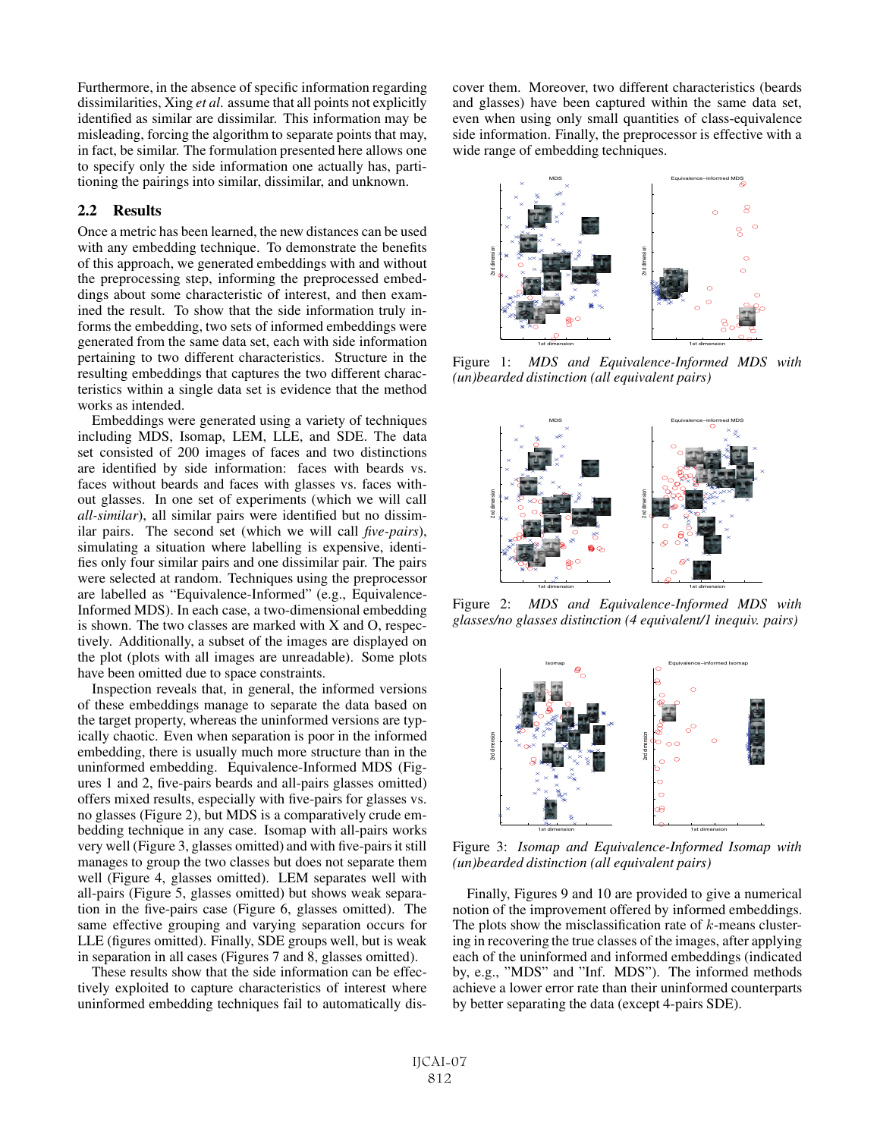Furthermore, in the absence of specific information regarding dissimilarities, Xing *et al*. assume that all points not explicitly identified as similar are dissimilar. This information may be misleading, forcing the algorithm to separate points that may, in fact, be similar. The formulation presented here allows one to specify only the side information one actually has, partitioning the pairings into similar, dissimilar, and unknown.

### 2.2 Results

Once a metric has been learned, the new distances can be used with any embedding technique. To demonstrate the benefits of this approach, we generated embeddings with and without the preprocessing step, informing the preprocessed embeddings about some characteristic of interest, and then examined the result. To show that the side information truly informs the embedding, two sets of informed embeddings were generated from the same data set, each with side information pertaining to two different characteristics. Structure in the resulting embeddings that captures the two different characteristics within a single data set is evidence that the method works as intended.

Embeddings were generated using a variety of techniques including MDS, Isomap, LEM, LLE, and SDE. The data set consisted of 200 images of faces and two distinctions are identified by side information: faces with beards vs. faces without beards and faces with glasses vs. faces without glasses. In one set of experiments (which we will call *all-similar*), all similar pairs were identified but no dissimilar pairs. The second set (which we will call *five-pairs*), simulating a situation where labelling is expensive, identifies only four similar pairs and one dissimilar pair. The pairs were selected at random. Techniques using the preprocessor are labelled as "Equivalence-Informed" (e.g., Equivalence-Informed MDS). In each case, a two-dimensional embedding is shown. The two classes are marked with X and O, respectively. Additionally, a subset of the images are displayed on the plot (plots with all images are unreadable). Some plots have been omitted due to space constraints.

Inspection reveals that, in general, the informed versions of these embeddings manage to separate the data based on the target property, whereas the uninformed versions are typically chaotic. Even when separation is poor in the informed embedding, there is usually much more structure than in the uninformed embedding. Equivalence-Informed MDS (Figures 1 and 2, five-pairs beards and all-pairs glasses omitted) offers mixed results, especially with five-pairs for glasses vs. no glasses (Figure 2), but MDS is a comparatively crude embedding technique in any case. Isomap with all-pairs works very well (Figure 3, glasses omitted) and with five-pairs it still manages to group the two classes but does not separate them well (Figure 4, glasses omitted). LEM separates well with all-pairs (Figure 5, glasses omitted) but shows weak separation in the five-pairs case (Figure 6, glasses omitted). The same effective grouping and varying separation occurs for LLE (figures omitted). Finally, SDE groups well, but is weak in separation in all cases (Figures 7 and 8, glasses omitted).

These results show that the side information can be effectively exploited to capture characteristics of interest where uninformed embedding techniques fail to automatically discover them. Moreover, two different characteristics (beards and glasses) have been captured within the same data set, even when using only small quantities of class-equivalence side information. Finally, the preprocessor is effective with a wide range of embedding techniques.



Figure 1: *MDS and Equivalence-Informed MDS with (un)bearded distinction (all equivalent pairs)*



Figure 2: *MDS and Equivalence-Informed MDS with glasses/no glasses distinction (4 equivalent/1 inequiv. pairs)*



Figure 3: *Isomap and Equivalence-Informed Isomap with (un)bearded distinction (all equivalent pairs)*

Finally, Figures 9 and 10 are provided to give a numerical notion of the improvement offered by informed embeddings. The plots show the misclassification rate of  $k$ -means clustering in recovering the true classes of the images, after applying each of the uninformed and informed embeddings (indicated by, e.g., "MDS" and "Inf. MDS"). The informed methods achieve a lower error rate than their uninformed counterparts by better separating the data (except 4-pairs SDE).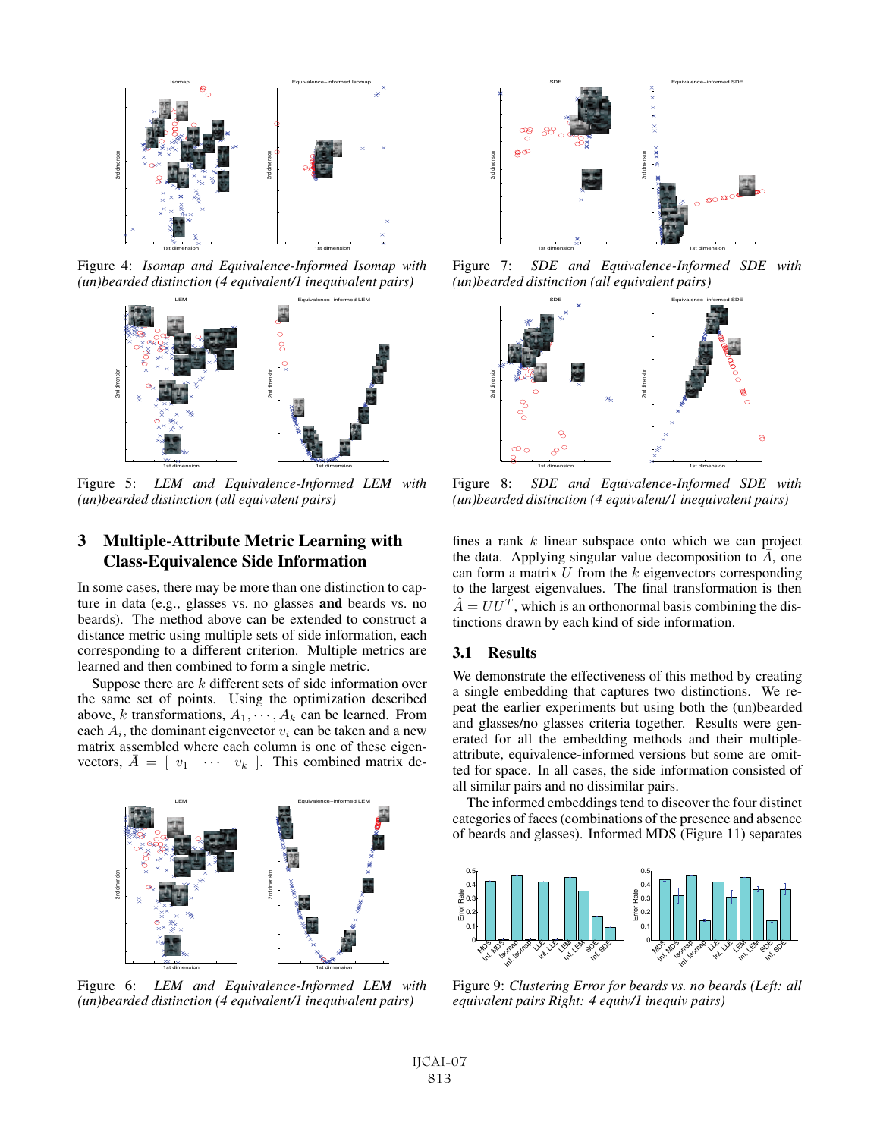

Figure 4: *Isomap and Equivalence-Informed Isomap with (un)bearded distinction (4 equivalent/1 inequivalent pairs)*



Figure 5: *LEM and Equivalence-Informed LEM with (un)bearded distinction (all equivalent pairs)*

### 3 Multiple-Attribute Metric Learning with Class-Equivalence Side Information

In some cases, there may be more than one distinction to capture in data (e.g., glasses vs. no glasses and beards vs. no beards). The method above can be extended to construct a distance metric using multiple sets of side information, each corresponding to a different criterion. Multiple metrics are learned and then combined to form a single metric.

Suppose there are k different sets of side information over the same set of points. Using the optimization described above, k transformations,  $A_1, \dots, A_k$  can be learned. From each  $A_i$ , the dominant eigenvector  $v_i$  can be taken and a new matrix assembled where each column is one of these eigenvectors,  $\overline{A} = [ v_1 \cdots v_k ]$ . This combined matrix de-



Figure 6: *LEM and Equivalence-Informed LEM with (un)bearded distinction (4 equivalent/1 inequivalent pairs)*



Figure 7: *SDE and Equivalence-Informed SDE with (un)bearded distinction (all equivalent pairs)*



Figure 8: *SDE and Equivalence-Informed SDE with (un)bearded distinction (4 equivalent/1 inequivalent pairs)*

fines a rank  $k$  linear subspace onto which we can project the data. Applying singular value decomposition to  $A$ , one can form a matrix  $U$  from the  $k$  eigenvectors corresponding to the largest eigenvalues. The final transformation is then  $\hat{A} = U U^{T}$ , which is an orthonormal basis combining the distinctions drawn by each kind of side information.

#### 3.1 Results

We demonstrate the effectiveness of this method by creating a single embedding that captures two distinctions. We repeat the earlier experiments but using both the (un)bearded and glasses/no glasses criteria together. Results were generated for all the embedding methods and their multipleattribute, equivalence-informed versions but some are omitted for space. In all cases, the side information consisted of all similar pairs and no dissimilar pairs.

The informed embeddings tend to discover the four distinct categories of faces (combinations of the presence and absence of beards and glasses). Informed MDS (Figure 11) separates



Figure 9: *Clustering Error for beards vs. no beards (Left: all equivalent pairs Right: 4 equiv/1 inequiv pairs)*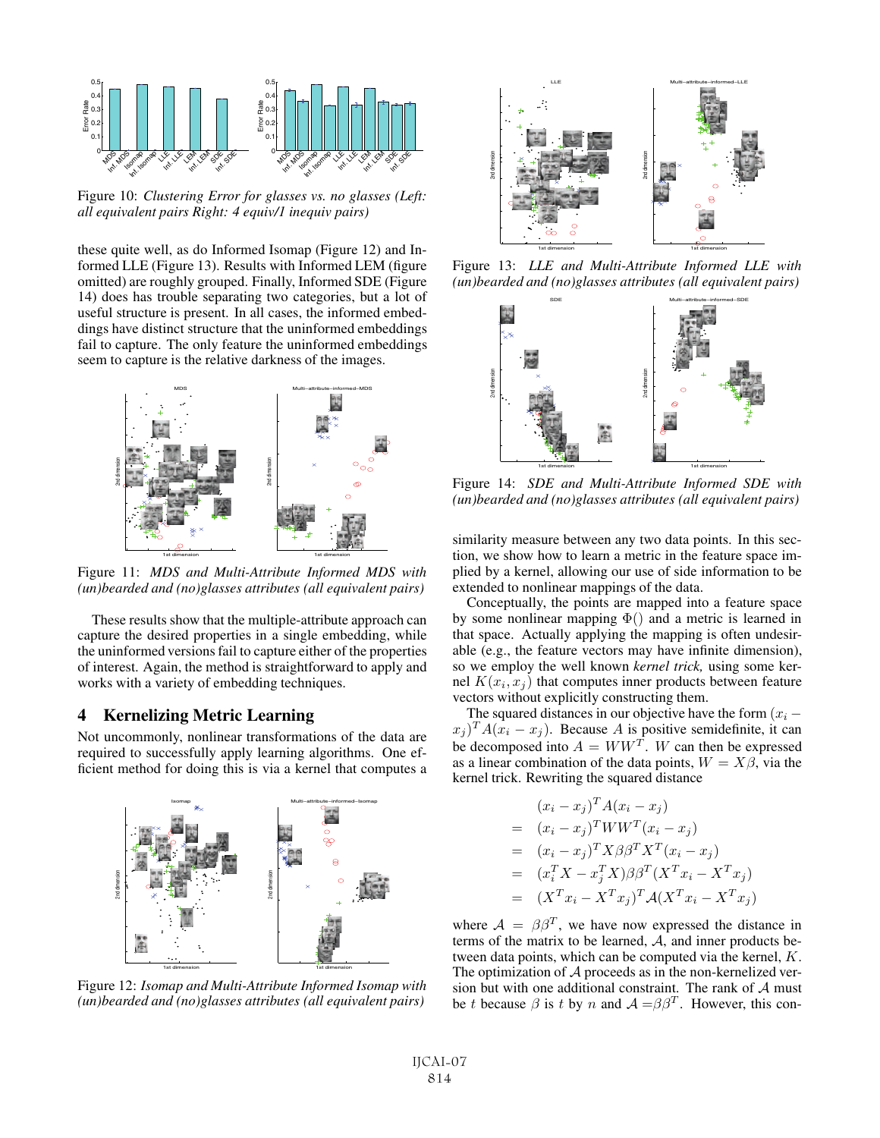

Figure 10: *Clustering Error for glasses vs. no glasses (Left: all equivalent pairs Right: 4 equiv/1 inequiv pairs)*

these quite well, as do Informed Isomap (Figure 12) and Informed LLE (Figure 13). Results with Informed LEM (figure omitted) are roughly grouped. Finally, Informed SDE (Figure 14) does has trouble separating two categories, but a lot of useful structure is present. In all cases, the informed embeddings have distinct structure that the uninformed embeddings fail to capture. The only feature the uninformed embeddings seem to capture is the relative darkness of the images.



Figure 11: *MDS and Multi-Attribute Informed MDS with (un)bearded and (no)glasses attributes (all equivalent pairs)*

These results show that the multiple-attribute approach can capture the desired properties in a single embedding, while the uninformed versions fail to capture either of the properties of interest. Again, the method is straightforward to apply and works with a variety of embedding techniques.

### 4 Kernelizing Metric Learning

Not uncommonly, nonlinear transformations of the data are required to successfully apply learning algorithms. One efficient method for doing this is via a kernel that computes a



Figure 12: *Isomap and Multi-Attribute Informed Isomap with (un)bearded and (no)glasses attributes (all equivalent pairs)*



Figure 13: *LLE and Multi-Attribute Informed LLE with (un)bearded and (no)glasses attributes (all equivalent pairs)*



Figure 14: *SDE and Multi-Attribute Informed SDE with (un)bearded and (no)glasses attributes (all equivalent pairs)*

similarity measure between any two data points. In this section, we show how to learn a metric in the feature space implied by a kernel, allowing our use of side information to be extended to nonlinear mappings of the data.

Conceptually, the points are mapped into a feature space by some nonlinear mapping  $\Phi()$  and a metric is learned in that space. Actually applying the mapping is often undesirable (e.g., the feature vectors may have infinite dimension), so we employ the well known *kernel trick,* using some kernel  $K(x_i, x_j)$  that computes inner products between feature vectors without explicitly constructing them.

The squared distances in our objective have the form  $(x_i (x_i)^T A(x_i - x_j)$ . Because A is positive semidefinite, it can be decomposed into  $A = WW^T$ . W can then be expressed as a linear combination of the data points,  $W = X\beta$ , via the kernel trick. Rewriting the squared distance

$$
(x_i - x_j)^T A (x_i - x_j)
$$
  
=  $(x_i - x_j)^T W W^T (x_i - x_j)$   
=  $(x_i - x_j)^T X \beta \beta^T X^T (x_i - x_j)$   
=  $(x_i^T X - x_j^T X) \beta \beta^T (X^T x_i - X^T x_j)$   
=  $(X^T x_i - X^T x_j)^T A (X^T x_i - X^T x_j)$ 

where  $A = \beta \beta^T$ , we have now expressed the distance in terms of the matrix to be learned, A, and inner products between data points, which can be computed via the kernel, K. The optimization of  $A$  proceeds as in the non-kernelized version but with one additional constraint. The rank of A must be t because  $\beta$  is t by n and  $\mathcal{A} = \beta \beta^T$ . However, this con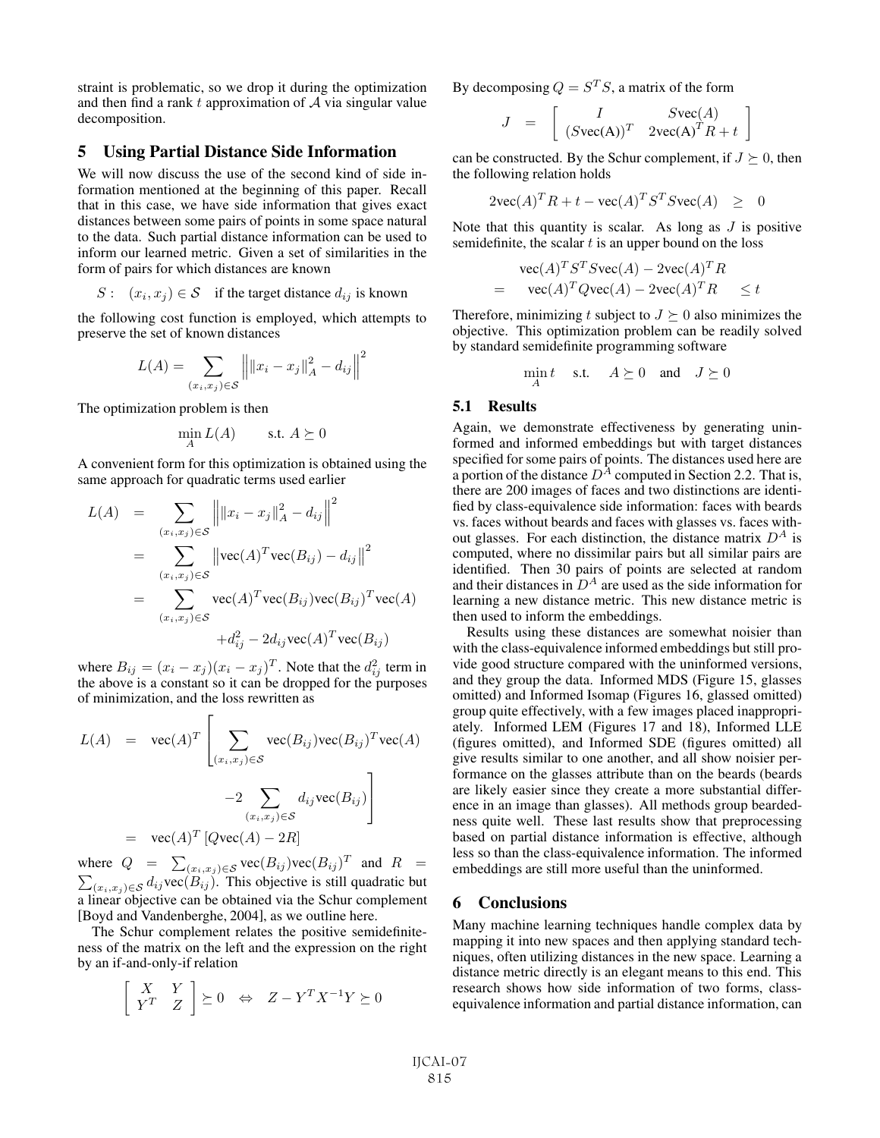straint is problematic, so we drop it during the optimization and then find a rank  $t$  approximation of  $A$  via singular value decomposition.

### 5 Using Partial Distance Side Information

We will now discuss the use of the second kind of side information mentioned at the beginning of this paper. Recall that in this case, we have side information that gives exact distances between some pairs of points in some space natural to the data. Such partial distance information can be used to inform our learned metric. Given a set of similarities in the form of pairs for which distances are known

$$
S: (x_i, x_j) \in S \text{ if the target distance } d_{ij} \text{ is known}
$$

the following cost function is employed, which attempts to preserve the set of known distances

$$
L(A) = \sum_{(x_i, x_j) \in \mathcal{S}} ||x_i - x_j||_A^2 - d_{ij}||^2
$$

The optimization problem is then

$$
\min_{A} L(A) \qquad \text{s.t. } A \succeq 0
$$

A convenient form for this optimization is obtained using the same approach for quadratic terms used earlier

$$
L(A) = \sum_{(x_i, x_j) \in S} \left\| \|x_i - x_j\|_A^2 - d_{ij} \right\|^2
$$
  
\n
$$
= \sum_{(x_i, x_j) \in S} \left\| \text{vec}(A)^T \text{vec}(B_{ij}) - d_{ij} \right\|^2
$$
  
\n
$$
= \sum_{(x_i, x_j) \in S} \text{vec}(A)^T \text{vec}(B_{ij}) \text{vec}(B_{ij})^T \text{vec}(A)
$$
  
\n
$$
+ d_{ij}^2 - 2 d_{ij} \text{vec}(A)^T \text{vec}(B_{ij})
$$

where  $B_{ij} = (x_i - x_j)(x_i - x_j)^T$ . Note that the  $d_{ij}^2$  term in the above is a constant so it can be dropped for the purposes of minimization, and the loss rewritten as

$$
L(A) = \text{vec}(A)^T \left[ \sum_{(x_i, x_j) \in S} \text{vec}(B_{ij}) \text{vec}(B_{ij})^T \text{vec}(A) -2 \sum_{(x_i, x_j) \in S} d_{ij} \text{vec}(B_{ij}) \right]
$$
  
= 
$$
\text{vec}(A)^T \left[ Q \text{vec}(A) - 2R \right]
$$

where  $Q = \sum_{(x_i, x_j) \in S}$  vec $(B_{ij})$ vec $(B_{ij})^T$  and  $R =$  $\sum_{(x_i,x_j)\in\mathcal{S}} d_{ij}$ vec $(B_{ij})$ . This objective is still quadratic but a linear objective can be obtained via the Schur complement [Boyd and Vandenberghe, 2004], as we outline here.

The Schur complement relates the positive semidefiniteness of the matrix on the left and the expression on the right by an if-and-only-if relation

$$
\left[\begin{array}{cc} X & Y \\ Y^T & Z \end{array}\right] \succeq 0 \Leftrightarrow Z - Y^T X^{-1} Y \succeq 0
$$

By decomposing  $Q = S<sup>T</sup>S$ , a matrix of the form

$$
J = \begin{bmatrix} I & S \text{vec}(A) \\ (S \text{vec}(A))^T & 2 \text{vec}(A)^T R + t \end{bmatrix}
$$

can be constructed. By the Schur complement, if  $J \succeq 0$ , then the following relation holds

$$
2\text{vec}(A)^T R + t - \text{vec}(A)^T S^T S \text{vec}(A) \geq 0
$$

Note that this quantity is scalar. As long as  $J$  is positive semidefinite, the scalar  $t$  is an upper bound on the loss

$$
\text{vec}(A)^T S^T S \text{vec}(A) - 2 \text{vec}(A)^T R
$$
  
= 
$$
\text{vec}(A)^T Q \text{vec}(A) - 2 \text{vec}(A)^T R \le t
$$

Therefore, minimizing t subject to  $J \succeq 0$  also minimizes the objective. This optimization problem can be readily solved by standard semidefinite programming software

$$
\min_A t \quad \text{s.t.} \quad A \succeq 0 \quad \text{and} \quad J \succeq 0
$$

#### 5.1 Results

Again, we demonstrate effectiveness by generating uninformed and informed embeddings but with target distances specified for some pairs of points. The distances used here are a portion of the distance  $D^{\overline{A}}$  computed in Section 2.2. That is, there are 200 images of faces and two distinctions are identified by class-equivalence side information: faces with beards vs. faces without beards and faces with glasses vs. faces without glasses. For each distinction, the distance matrix  $D<sup>A</sup>$  is computed, where no dissimilar pairs but all similar pairs are identified. Then 30 pairs of points are selected at random and their distances in  $D^A$  are used as the side information for learning a new distance metric. This new distance metric is then used to inform the embeddings.

Results using these distances are somewhat noisier than with the class-equivalence informed embeddings but still provide good structure compared with the uninformed versions, and they group the data. Informed MDS (Figure 15, glasses omitted) and Informed Isomap (Figures 16, glassed omitted) group quite effectively, with a few images placed inappropriately. Informed LEM (Figures 17 and 18), Informed LLE (figures omitted), and Informed SDE (figures omitted) all give results similar to one another, and all show noisier performance on the glasses attribute than on the beards (beards are likely easier since they create a more substantial difference in an image than glasses). All methods group beardedness quite well. These last results show that preprocessing based on partial distance information is effective, although less so than the class-equivalence information. The informed embeddings are still more useful than the uninformed.

### 6 Conclusions

Many machine learning techniques handle complex data by mapping it into new spaces and then applying standard techniques, often utilizing distances in the new space. Learning a distance metric directly is an elegant means to this end. This research shows how side information of two forms, classequivalence information and partial distance information, can